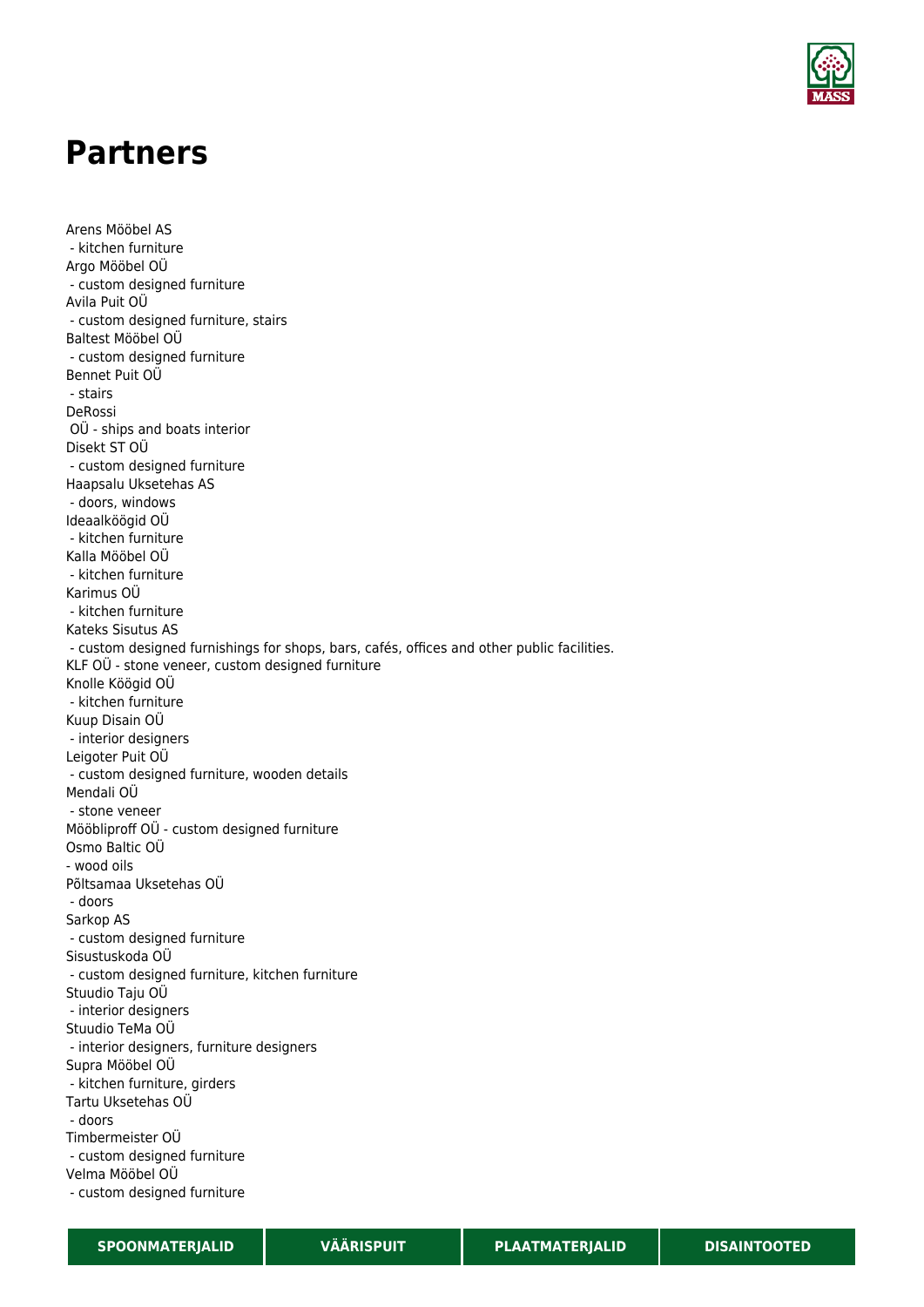

## **Partners**

Arens Mööbel AS - kitchen furniture Argo Mööbel OÜ - custom designed furniture Avila Puit OÜ - custom designed furniture, stairs Baltest Mööbel OÜ - custom designed furniture Bennet Puit OÜ - stairs DeRossi OÜ - ships and boats interior Disekt ST OÜ - custom designed furniture Haapsalu Uksetehas AS - doors, windows Ideaalköögid OÜ - kitchen furniture Kalla Mööbel OÜ - kitchen furniture Karimus OÜ - kitchen furniture Kateks Sisutus AS - custom designed furnishings for shops, bars, cafés, offices and other public facilities. KLF OÜ - stone veneer, custom designed furniture Knolle Köögid OÜ - kitchen furniture Kuup Disain OÜ - interior designers Leigoter Puit OÜ - custom designed furniture, wooden details Mendali OÜ - stone veneer Mööbliproff OÜ - custom designed furniture Osmo Baltic OÜ - wood oils Põltsamaa Uksetehas OÜ - doors Sarkop AS - custom designed furniture Sisustuskoda OÜ - custom designed furniture, kitchen furniture Stuudio Taju OÜ - interior designers Stuudio TeMa OÜ - interior designers, furniture designers Supra Mööbel OÜ - kitchen furniture, girders Tartu Uksetehas OÜ - doors Timbermeister OÜ - custom designed furniture Velma Mööbel OÜ - custom designed furniture